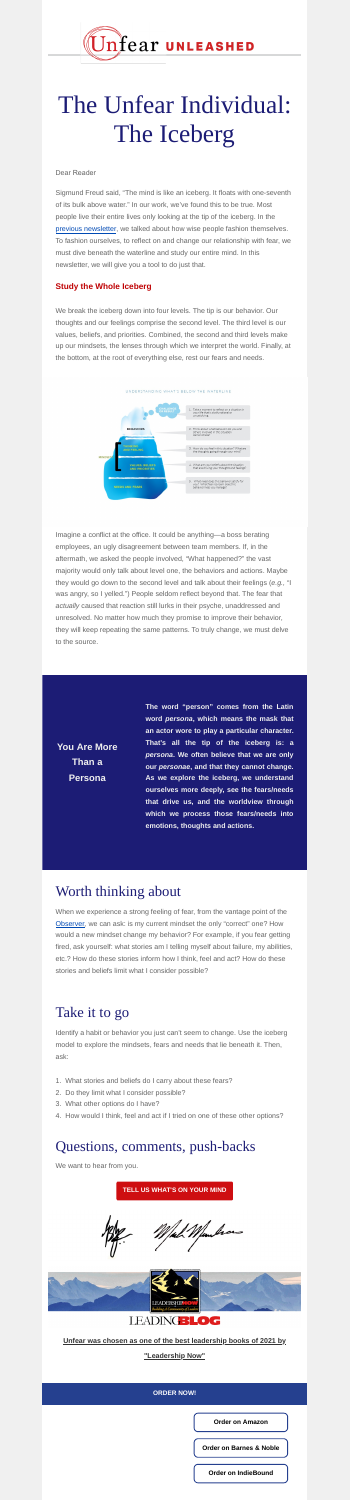**You Are More Than a Persona**

**The word "person" comes from the Latin word** *persona***, which means the mask that an actor wore to play a particular character. That's all the tip of the iceberg is: a** *persona***. We often believe that we are only our** *personae***, and that they cannot change. As we explore the iceberg, we understand ourselves more deeply, see the fears/needs that drive us, and the worldview through which we process those fears/needs into emotions, thoughts and actions.**

**[Order on Amazon](https://www.amazon.com/Unfear-Organization-Breakthrough-Performance-Well-Being/dp/1264268165)**

**[Order on Barnes & Noble](https://www.barnesandnoble.com/w/unfear-gaurav-bhatnagar/1139270830)**

**[Order on IndieBound](https://www.indiebound.org/book/9781264268160)**



# The Unfear Individual: The Iceberg

#### Dear Reader

Sigmund Freud said, "The mind is like an iceberg. It floats with one-seventh of its bulk above water." In our work, we've found this to be true. Most people live their entire lives only looking at the tip of the iceberg. In the [previous newsletter,](https://cocreationpartners.com/wp-content/uploads/2021/11/Unfear-Newsletter-2.pdf) we talked about how wise people fashion themselves. To fashion ourselves, to reflect on and change our relationship with fear, we must dive beneath the waterline and study our entire mind. In this newsletter, we will give you a tool to do just that.

#### **Study the Whole Iceberg**

We break the iceberg down into four levels. The tip is our behavior. Our thoughts and our feelings comprise the second level. The third level is our values, beliefs, and priorities. Combined, the second and third levels make up our mindsets, the lenses through which we interpret the world. Finally, at the bottom, at the root of everything else, rest our fears and needs.



Imagine a conflict at the office. It could be anything—a boss berating employees, an ugly disagreement between team members. If, in the aftermath, we asked the people involved, "What happened?" the vast majority would only talk about level one, the behaviors and actions. Maybe they would go down to the second level and talk about their feelings (*e.g.,* "I was angry, so I yelled.") People seldom reflect beyond that. The fear that *actually* caused that reaction still lurks in their psyche, unaddressed and unresolved. No matter how much they promise to improve their behavior, they will keep repeating the same patterns. To truly change, we must delve to the source.

#### Worth thinking about

When we experience a strong feeling of fear, from the vantage point of the [Observer](https://cocreationpartners.com/wp-content/uploads/2021/11/Unfear-Newsletter-2.pdf)*,* we can ask: is my current mindset the only "correct" one? How would a new mindset change my behavior? For example, if you fear getting fired, ask yourself: what stories am I telling myself about failure, my abilities, etc.? How do these stories inform how I think, feel and act? How do these stories and beliefs limit what I consider possible?

## Take it to go

Identify a habit or behavior you just can't seem to change. Use the iceberg model to explore the mindsets, fears and needs that lie beneath it. Then, ask:

- 1. What stories and beliefs do I carry about these fears?
- 2. Do they limit what I consider possible?
- 3. What other options do I have?
- 4. How would I think, feel and act if I tried on one of these other options?

## Questions, comments, push-backs

We want to hear from you.



**ORDER NOW!**